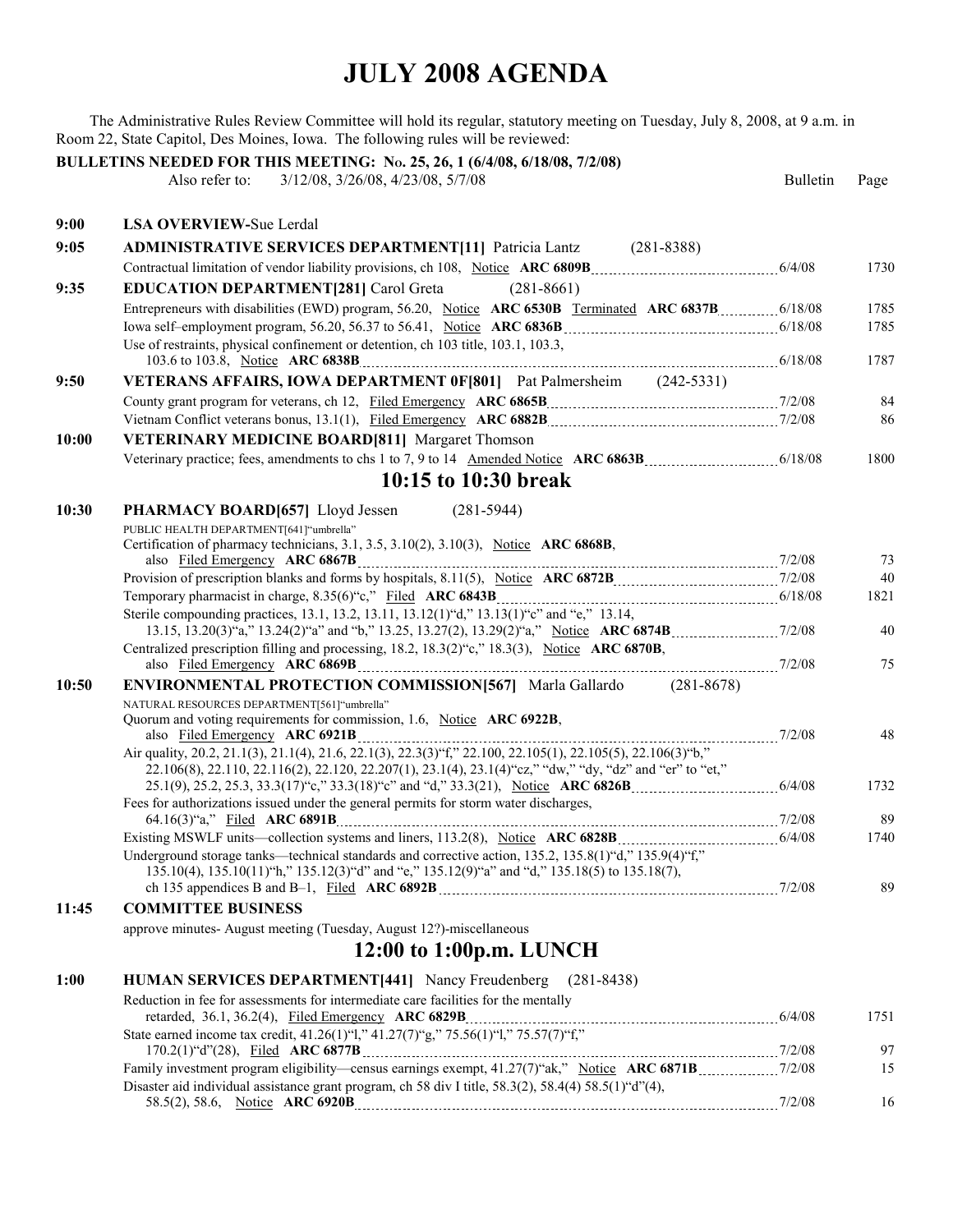The Administrative Rules Review Committee will hold its regular, statutory meeting on Tuesday, July 8, 2008, at 9 a.m. in Room 22, State Capitol, Des Moines, Iowa. The following rules will be reviewed:

|       | BULLETINS NEEDED FOR THIS MEETING: No. 25, 26, 1 (6/4/08, 6/18/08, 7/2/08)<br>Also refer to:<br>3/12/08, 3/26/08, 4/23/08, 5/7/08             | <b>Bulletin</b> | Page       |
|-------|-----------------------------------------------------------------------------------------------------------------------------------------------|-----------------|------------|
| 9:00  | <b>LSA OVERVIEW-Sue Lerdal</b>                                                                                                                |                 |            |
| 9:05  | <b>ADMINISTRATIVE SERVICES DEPARTMENT[11] Patricia Lantz (281-8388)</b>                                                                       |                 |            |
|       |                                                                                                                                               |                 | 1730       |
| 9:35  | <b>EDUCATION DEPARTMENT[281] Carol Greta</b><br>$(281 - 8661)$                                                                                |                 |            |
|       |                                                                                                                                               |                 | 1785       |
|       |                                                                                                                                               |                 | 1785       |
|       | Use of restraints, physical confinement or detention, ch 103 title, 103.1, 103.3,                                                             |                 |            |
|       |                                                                                                                                               |                 | 1787       |
| 9:50  | VETERANS AFFAIRS, IOWA DEPARTMENT 0F[801] Pat Palmersheim (242-5331)                                                                          |                 |            |
|       |                                                                                                                                               |                 | 84         |
|       |                                                                                                                                               |                 | 86         |
| 10:00 | <b>VETERINARY MEDICINE BOARD[811] Margaret Thomson</b>                                                                                        |                 |            |
|       |                                                                                                                                               |                 | 1800       |
|       | 10:15 to 10:30 break                                                                                                                          |                 |            |
| 10:30 | PHARMACY BOARD[657] Lloyd Jessen<br>$(281 - 5944)$                                                                                            |                 |            |
|       | PUBLIC HEALTH DEPARTMENT[641]"umbrella"<br>Certification of pharmacy technicians, 3.1, 3.5, 3.10(2), 3.10(3), Notice ARC 6868B,               |                 |            |
|       |                                                                                                                                               |                 | 73         |
|       |                                                                                                                                               |                 | 40<br>1821 |
|       | Sterile compounding practices, 13.1, 13.2, 13.11, 13.12(1) "d," 13.13(1) "c" and "e," 13.14,                                                  |                 |            |
|       |                                                                                                                                               |                 | 40         |
|       | Centralized prescription filling and processing, 18.2, 18.3(2) "c," 18.3(3), Notice ARC 6870B,                                                |                 |            |
|       |                                                                                                                                               |                 | 75         |
| 10:50 | <b>ENVIRONMENTAL PROTECTION COMMISSION [567]</b> Marla Gallardo<br>$(281 - 8678)$                                                             |                 |            |
|       | NATURAL RESOURCES DEPARTMENT[561]"umbrella"<br>Quorum and voting requirements for commission, 1.6, Notice ARC 6922B,                          |                 |            |
|       |                                                                                                                                               |                 | 48         |
|       | Air quality, 20.2, 21.1(3), 21.1(4), 21.6, 22.1(3), 22.3(3) "f," 22.100, 22.105(1), 22.105(5), 22.106(3) "b,"                                 |                 |            |
|       | 22.106(8), 22.110, 22.116(2), 22.120, 22.207(1), 23.1(4), 23.1(4) "cz," "dw," "dy, "dz" and "er" to "et,"                                     |                 |            |
|       |                                                                                                                                               |                 | 1732       |
|       | Fees for authorizations issued under the general permits for storm water discharges,                                                          |                 | 89         |
|       |                                                                                                                                               |                 | 1740       |
|       | Underground storage tanks—technical standards and corrective action, 135.2, 135.8(1)"d," 135.9(4)"f,"                                         |                 |            |
|       | 135.10(4), 135.10(11) "h," 135.12(3) "d" and "e," 135.12(9) "a" and "d," 135.18(5) to 135.18(7),                                              |                 | 89         |
| 11:45 | <b>COMMITTEE BUSINESS</b>                                                                                                                     |                 |            |
|       | approve minutes-August meeting (Tuesday, August 12?)-miscellaneous                                                                            |                 |            |
|       | 12:00 to 1:00p.m. LUNCH                                                                                                                       |                 |            |
| 1:00  | <b>HUMAN SERVICES DEPARTMENT[441]</b> Nancy Freudenberg<br>$(281 - 8438)$                                                                     |                 |            |
|       | Reduction in fee for assessments for intermediate care facilities for the mentally                                                            |                 |            |
|       | retarded, 36.1, 36.2(4), Filed Emergency ARC 6829B<br>State earned income tax credit, 41.26(1) "1," 41.27(7) "g," 75.56(1) "1," 75.57(7) "f," |                 | 1751       |
|       |                                                                                                                                               |                 |            |
|       |                                                                                                                                               |                 | 97         |
|       | Disaster aid individual assistance grant program, ch 58 div I title, 58.3(2), 58.4(4) 58.5(1) "d"(4),                                         |                 | 15         |
|       |                                                                                                                                               |                 | 16         |
|       |                                                                                                                                               |                 |            |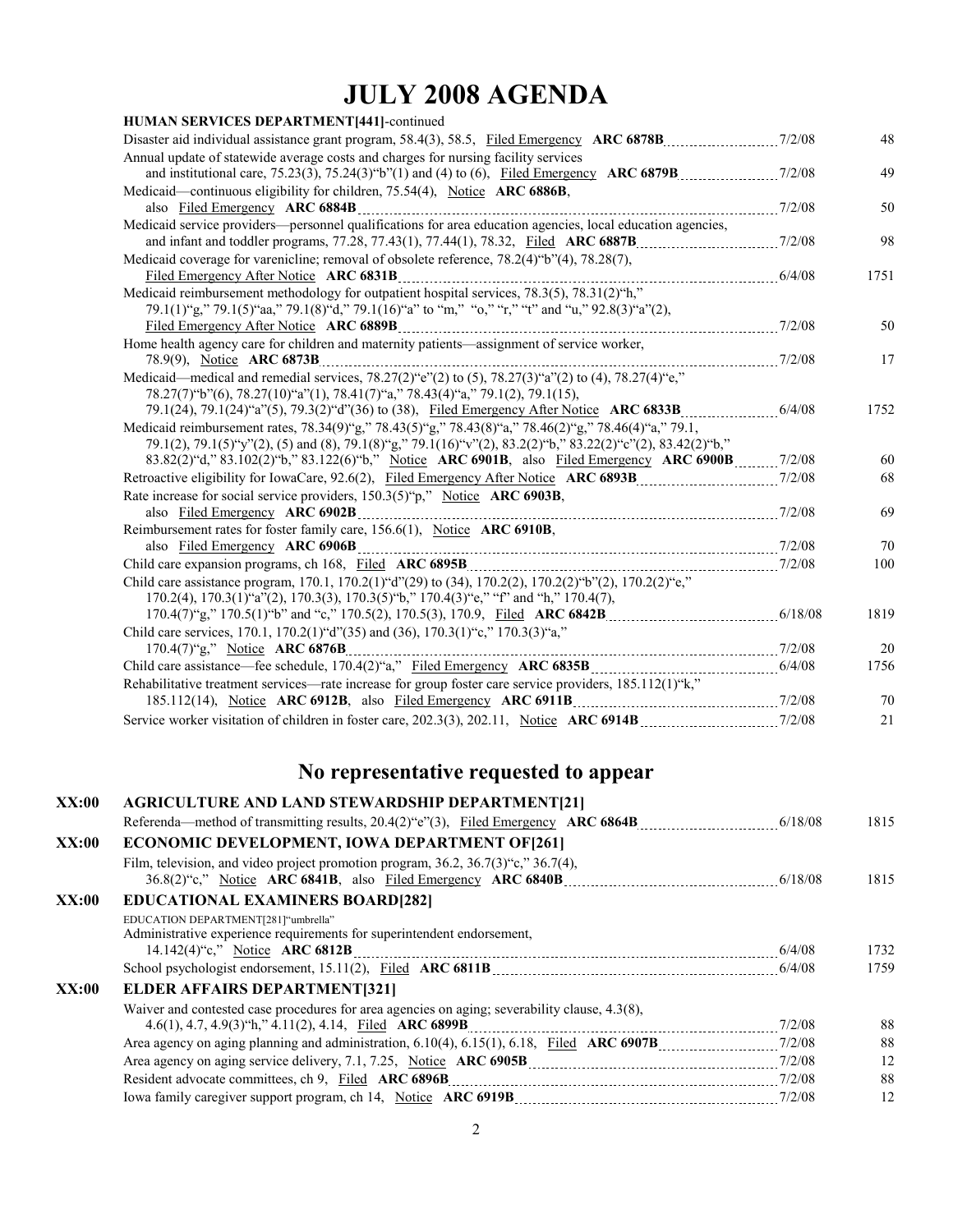| HUMAN SERVICES DEPARTMENT[441]-continued                                                                                              |      |
|---------------------------------------------------------------------------------------------------------------------------------------|------|
|                                                                                                                                       | 48   |
| Annual update of statewide average costs and charges for nursing facility services                                                    |      |
|                                                                                                                                       | 49   |
| Medicaid—continuous eligibility for children, 75.54(4), Notice ARC 6886B,                                                             |      |
|                                                                                                                                       | 50   |
| Medicaid service providers—personnel qualifications for area education agencies, local education agencies,                            |      |
|                                                                                                                                       | 98   |
| Medicaid coverage for varenicline; removal of obsolete reference, 78.2(4) "b"(4), 78.28(7),                                           |      |
| Filed Emergency After Notice ARC 6831B<br>Medicaid reimbursement methodology for outpatient hospital services, 78.3(5), 78.31(2) "h," | 1751 |
|                                                                                                                                       |      |
| 79.1(1)"g," 79.1(5)"aa," 79.1(8)"d," 79.1(16)"a" to "m," "o," "r," "t" and "u," 92.8(3)"a"(2),                                        |      |
|                                                                                                                                       | 50   |
| Home health agency care for children and maternity patients-assignment of service worker,                                             |      |
|                                                                                                                                       | 17   |
| Medicaid—medical and remedial services, $78.27(2)$ "e"(2) to (5), $78.27(3)$ "a"(2) to (4), $78.27(4)$ "e,"                           |      |
| 78.27(7) "b"(6), 78.27(10) "a"(1), 78.41(7) "a," 78.43(4) "a," 79.1(2), 79.1(15),                                                     | 1752 |
| Medicaid reimbursement rates, 78.34(9)"g," 78.43(5)"g," 78.43(8)"a," 78.46(2)"g," 78.46(4)"a," 79.1,                                  |      |
| 79.1(2), 79.1(5) "y"(2), (5) and (8), 79.1(8) "g," 79.1(16) "y"(2), 83.2(2) "b," 83.22(2) "c"(2), 83.42(2) "b,"                       |      |
| 83.82(2) "d," 83.102(2) "b," 83.122(6) "b," Notice ARC 6901B, also Filed Emergency ARC 6900B 7/2/08                                   | 60   |
|                                                                                                                                       | 68   |
| Rate increase for social service providers, 150.3(5)"p," Notice ARC 6903B,                                                            |      |
| also Filed Emergency ARC 6902B                                                                                                        | 69   |
| Reimbursement rates for foster family care, 156.6(1), Notice ARC 6910B,                                                               |      |
|                                                                                                                                       | 70   |
|                                                                                                                                       | 100  |
| Child care assistance program, 170.1, 170.2(1) "d"(29) to (34), 170.2(2), 170.2(2) "b"(2), 170.2(2) "e,"                              |      |
| $170.2(4)$ , $170.3(1)$ "a"(2), $170.3(3)$ , $170.3(5)$ "b," $170.4(3)$ "e," "f" and "h," $170.4(7)$ ,                                |      |
|                                                                                                                                       | 1819 |
| Child care services, 170.1, 170.2(1)"d"(35) and (36), 170.3(1)"c," 170.3(3)"a,"                                                       |      |
|                                                                                                                                       | 20   |
|                                                                                                                                       | 1756 |
| Rehabilitative treatment services—rate increase for group foster care service providers, 185.112(1)"k,"                               |      |
|                                                                                                                                       | 70   |
|                                                                                                                                       | 21   |
|                                                                                                                                       |      |

#### **No representative requested to appear**

| XX:00 | <b>AGRICULTURE AND LAND STEWARDSHIP DEPARTMENT[21]</b>                                                        |          |
|-------|---------------------------------------------------------------------------------------------------------------|----------|
|       |                                                                                                               | 1815     |
| XX:00 | <b>ECONOMIC DEVELOPMENT, IOWA DEPARTMENT OF [261]</b>                                                         |          |
|       | Film, television, and video project promotion program, $36.2$ , $36.7(3)$ °c, $36.7(4)$ ,                     | 1815     |
| XX:00 | <b>EDUCATIONAL EXAMINERS BOARD[282]</b>                                                                       |          |
|       | EDUCATION DEPARTMENT[281]"umbrella"<br>Administrative experience requirements for superintendent endorsement, | 1732     |
|       |                                                                                                               | 1759     |
| XX:00 | <b>ELDER AFFAIRS DEPARTMENT[321]</b>                                                                          |          |
|       | Waiver and contested case procedures for area agencies on aging; severability clause, $4.3(8)$ ,              | 88<br>88 |
|       |                                                                                                               | 12       |
|       |                                                                                                               | 88       |
|       |                                                                                                               | 12       |
|       |                                                                                                               |          |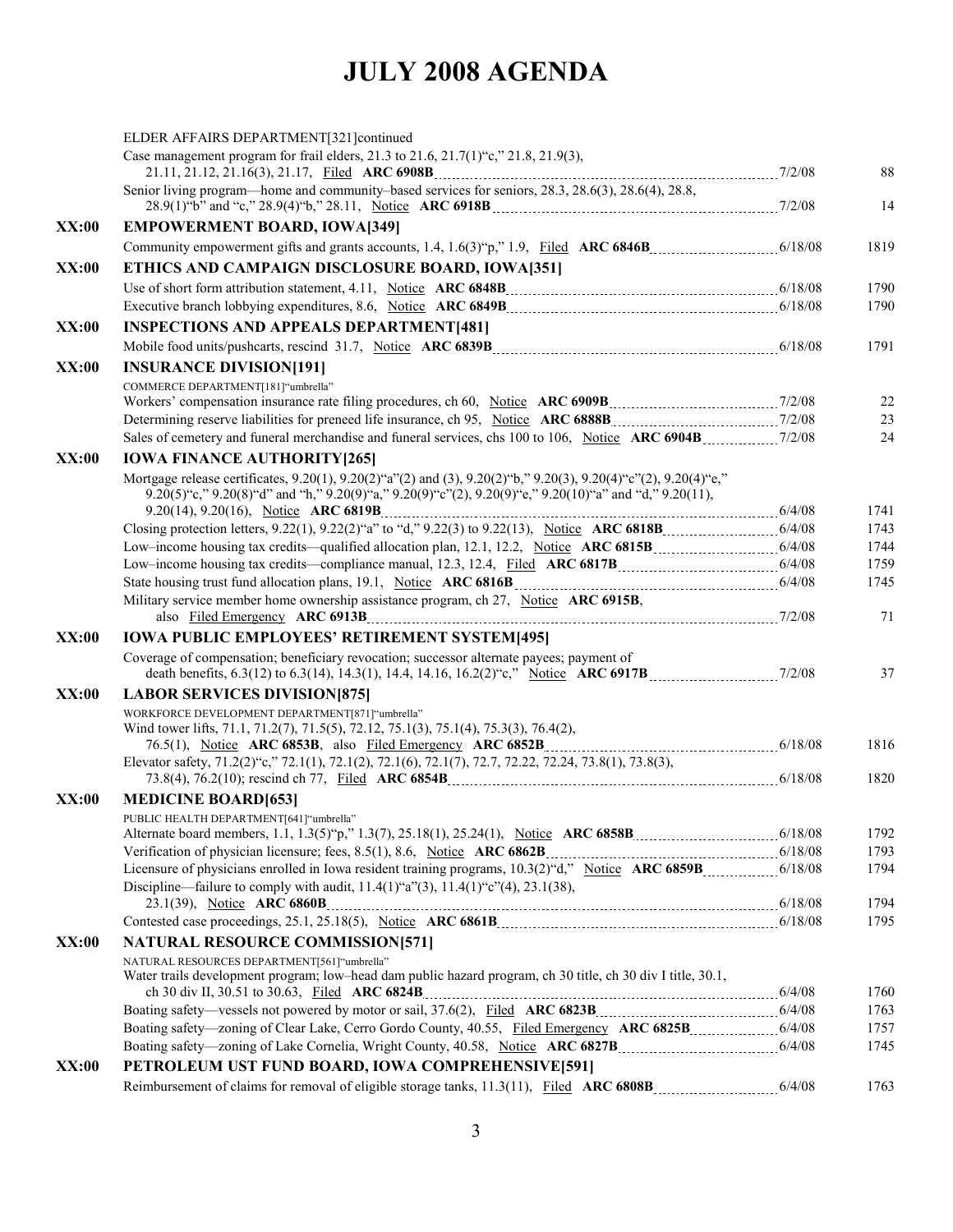|              | ELDER AFFAIRS DEPARTMENT[321]continued                                                                                                                     |      |
|--------------|------------------------------------------------------------------------------------------------------------------------------------------------------------|------|
|              | Case management program for frail elders, 21.3 to 21.6, 21.7(1) "c," 21.8, 21.9(3),                                                                        | 88   |
|              | Senior living program—home and community–based services for seniors, 28.3, 28.6(3), 28.6(4), 28.8,                                                         | 14   |
| <b>XX:00</b> | <b>EMPOWERMENT BOARD, IOWA[349]</b>                                                                                                                        |      |
|              |                                                                                                                                                            | 1819 |
| <b>XX:00</b> | ETHICS AND CAMPAIGN DISCLOSURE BOARD, IOWA[351]                                                                                                            |      |
|              |                                                                                                                                                            | 1790 |
|              | Executive branch lobbying expenditures, 8.6, Notice ARC 6849B [11] Mathematic materials and 18/08                                                          | 1790 |
| <b>XX:00</b> | <b>INSPECTIONS AND APPEALS DEPARTMENT[481]</b>                                                                                                             |      |
|              |                                                                                                                                                            | 1791 |
| <b>XX:00</b> | <b>INSURANCE DIVISION[191]</b>                                                                                                                             |      |
|              | COMMERCE DEPARTMENT[181] "umbrella"                                                                                                                        |      |
|              |                                                                                                                                                            | 22   |
|              | Determining reserve liabilities for preneed life insurance, ch 95, Notice ARC 6888B [2013] 12/08                                                           | 23   |
|              |                                                                                                                                                            | 24   |
| <b>XX:00</b> | <b>IOWA FINANCE AUTHORITY [265]</b>                                                                                                                        |      |
|              | Mortgage release certificates, 9.20(1), 9.20(2)"a"(2) and (3), 9.20(2)"b," 9.20(3), 9.20(4)"c"(2), 9.20(4)"e,"                                             |      |
|              | 9.20(5) "c," 9.20(8) "d" and "h," 9.20(9) "a," 9.20(9) "c"(2), 9.20(9) "e," 9.20(10) "a" and "d," 9.20(11),                                                |      |
|              |                                                                                                                                                            | 1741 |
|              |                                                                                                                                                            | 1743 |
|              |                                                                                                                                                            | 1744 |
|              | Low-income housing tax credits—compliance manual, 12.3, 12.4, Filed ARC 6817B [101] [24/08]                                                                | 1759 |
|              |                                                                                                                                                            | 1745 |
|              | Military service member home ownership assistance program, ch 27, Notice ARC 6915B,                                                                        | 71   |
| <b>XX:00</b> | <b>IOWA PUBLIC EMPLOYEES' RETIREMENT SYSTEM[495]</b>                                                                                                       |      |
|              | Coverage of compensation; beneficiary revocation; successor alternate payees; payment of                                                                   | 37   |
| <b>XX:00</b> | <b>LABOR SERVICES DIVISION [875]</b>                                                                                                                       |      |
|              | WORKFORCE DEVELOPMENT DEPARTMENT[871]"umbrella"                                                                                                            |      |
|              | Wind tower lifts, 71.1, 71.2(7), 71.5(5), 72.12, 75.1(3), 75.1(4), 75.3(3), 76.4(2),                                                                       |      |
|              | Elevator safety, 71.2(2)"c," 72.1(1), 72.1(2), 72.1(6), 72.1(7), 72.7, 72.22, 72.24, 73.8(1), 73.8(3),                                                     | 1816 |
|              |                                                                                                                                                            | 1820 |
| <b>XX:00</b> | <b>MEDICINE BOARD[653]</b>                                                                                                                                 |      |
|              | PUBLIC HEALTH DEPARTMENT[641] "umbrella"                                                                                                                   |      |
|              | Alternate board members, 1.1, 1.3(5) p," 1.3(7), 25.18(1), 25.24(1), Notice ARC 6858B (11, 11, 11, 12(5) 18/08                                             | 1792 |
|              |                                                                                                                                                            | 1793 |
|              |                                                                                                                                                            | 1794 |
|              | Discipline—failure to comply with audit, $11.4(1)$ "a" $(3)$ , $11.4(1)$ "c" $(4)$ , $23.1(38)$ ,                                                          |      |
|              |                                                                                                                                                            | 1794 |
|              |                                                                                                                                                            | 1795 |
| <b>XX:00</b> | <b>NATURAL RESOURCE COMMISSION[571]</b>                                                                                                                    |      |
|              | NATURAL RESOURCES DEPARTMENT[561]"umbrella"<br>Water trails development program; low-head dam public hazard program, ch 30 title, ch 30 div I title, 30.1, |      |
|              |                                                                                                                                                            | 1760 |
|              |                                                                                                                                                            | 1763 |
|              |                                                                                                                                                            | 1757 |
|              |                                                                                                                                                            | 1745 |
| <b>XX:00</b> | PETROLEUM UST FUND BOARD, IOWA COMPREHENSIVE[591]                                                                                                          |      |
|              |                                                                                                                                                            | 1763 |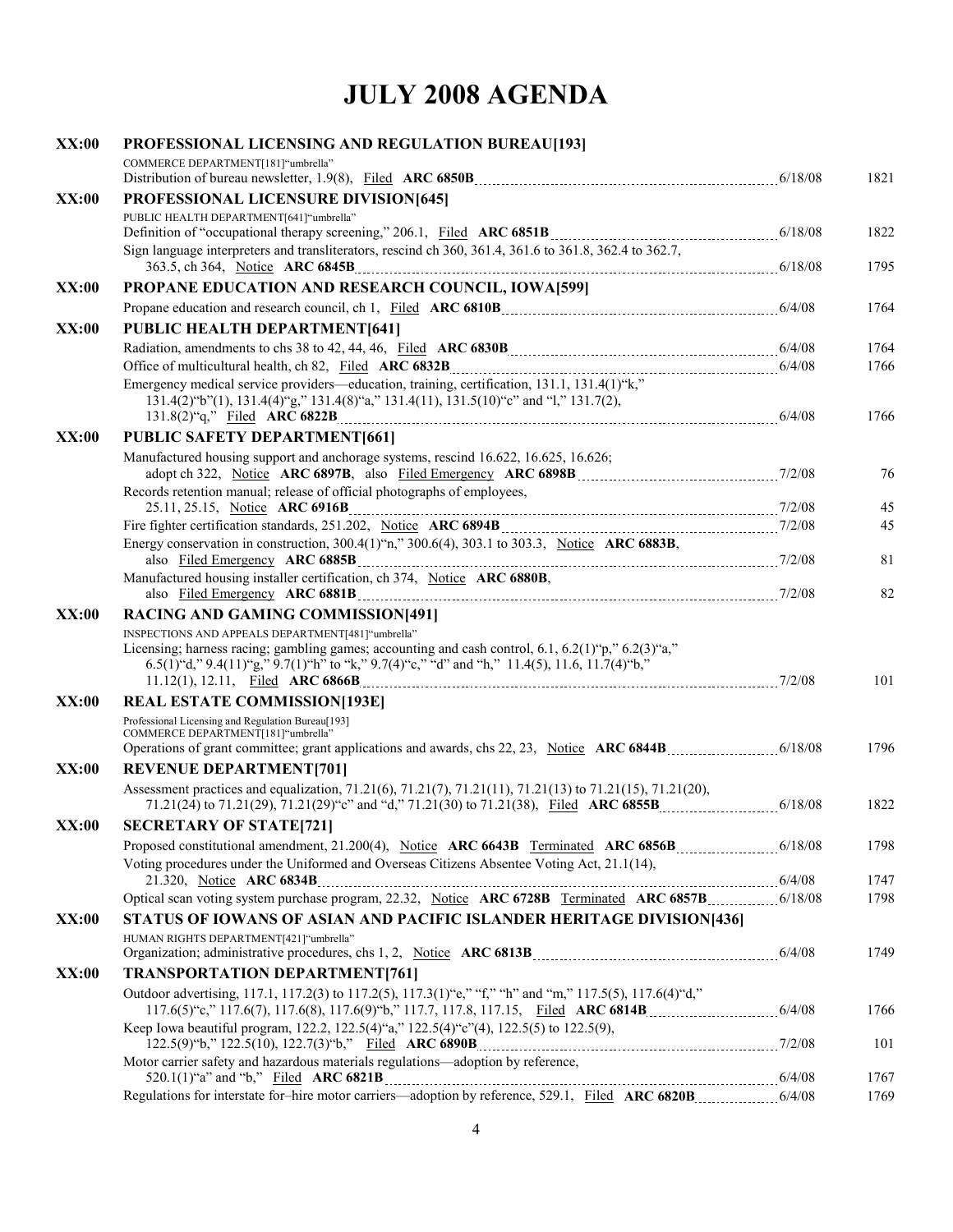| XX:00        | PROFESSIONAL LICENSING AND REGULATION BUREAU[193]                                                                                                                                                                                                                       |      |
|--------------|-------------------------------------------------------------------------------------------------------------------------------------------------------------------------------------------------------------------------------------------------------------------------|------|
|              | COMMERCE DEPARTMENT[181]"umbrella"                                                                                                                                                                                                                                      | 1821 |
| XX:00        | PROFESSIONAL LICENSURE DIVISION[645]                                                                                                                                                                                                                                    |      |
|              | PUBLIC HEALTH DEPARTMENT[641] "umbrella"                                                                                                                                                                                                                                |      |
|              |                                                                                                                                                                                                                                                                         | 1822 |
|              | Sign language interpreters and transliterators, rescind ch 360, 361.4, 361.6 to 361.8, 362.4 to 362.7,                                                                                                                                                                  | 1795 |
| XX:00        | PROPANE EDUCATION AND RESEARCH COUNCIL, IOWA[599]                                                                                                                                                                                                                       |      |
|              |                                                                                                                                                                                                                                                                         | 1764 |
| XX:00        | <b>PUBLIC HEALTH DEPARTMENT[641]</b>                                                                                                                                                                                                                                    |      |
|              |                                                                                                                                                                                                                                                                         | 1764 |
|              |                                                                                                                                                                                                                                                                         | 1766 |
|              | Emergency medical service providers—education, training, certification, 131.1, 131.4(1)"k,"<br>131.4(2)"b"(1), 131.4(4)"g," 131.4(8)"a," 131.4(11), 131.5(10)"c" and "1," 131.7(2),                                                                                     | 1766 |
| XX:00        | <b>PUBLIC SAFETY DEPARTMENT[661]</b>                                                                                                                                                                                                                                    |      |
|              | Manufactured housing support and anchorage systems, rescind 16.622, 16.625, 16.626;                                                                                                                                                                                     |      |
|              |                                                                                                                                                                                                                                                                         | 76   |
|              | Records retention manual; release of official photographs of employees,                                                                                                                                                                                                 |      |
|              |                                                                                                                                                                                                                                                                         | 45   |
|              |                                                                                                                                                                                                                                                                         | 45   |
|              | Energy conservation in construction, $300.4(1)$ "n," $300.6(4)$ , $303.1$ to $303.3$ , Notice ARC 6883B,                                                                                                                                                                | 81   |
|              | Manufactured housing installer certification, ch 374, Notice ARC 6880B,                                                                                                                                                                                                 | 82   |
| XX:00        | <b>RACING AND GAMING COMMISSION[491]</b>                                                                                                                                                                                                                                |      |
|              | INSPECTIONS AND APPEALS DEPARTMENT[481] "umbrella"<br>Licensing; harness racing; gambling games; accounting and cash control, $6.1$ , $6.2(1)$ "p," $6.2(3)$ "a,"<br>6.5(1) "d," 9.4(11) "g," 9.7(1) "h" to "k," 9.7(4) "c," "d" and "h," 11.4(5), 11.6, $11.7(4)$ "b," | 101  |
| <b>XX:00</b> | <b>REAL ESTATE COMMISSION[193E]</b>                                                                                                                                                                                                                                     |      |
|              | Professional Licensing and Regulation Bureau[193]                                                                                                                                                                                                                       |      |
|              | COMMERCE DEPARTMENT[181]"umbrella"                                                                                                                                                                                                                                      | 1796 |
| XX:00        | <b>REVENUE DEPARTMENT[701]</b>                                                                                                                                                                                                                                          |      |
|              | Assessment practices and equalization, 71.21(6), 71.21(7), 71.21(11), 71.21(13) to 71.21(15), 71.21(20),                                                                                                                                                                | 1822 |
| XX:00        | <b>SECRETARY OF STATE[721]</b>                                                                                                                                                                                                                                          |      |
|              |                                                                                                                                                                                                                                                                         | 1798 |
|              | Voting procedures under the Uniformed and Overseas Citizens Absentee Voting Act, 21.1(14),                                                                                                                                                                              |      |
|              | 21.320, Notice ARC 6834B                                                                                                                                                                                                                                                | 1747 |
|              |                                                                                                                                                                                                                                                                         | 1798 |
| <b>XX:00</b> | STATUS OF IOWANS OF ASIAN AND PACIFIC ISLANDER HERITAGE DIVISION[436]                                                                                                                                                                                                   |      |
|              | HUMAN RIGHTS DEPARTMENT[421]"umbrella"                                                                                                                                                                                                                                  | 1749 |
| <b>XX:00</b> | <b>TRANSPORTATION DEPARTMENT[761]</b>                                                                                                                                                                                                                                   |      |
|              | Outdoor advertising, 117.1, 117.2(3) to 117.2(5), 117.3(1) "e," "f," "h" and "m," 117.5(5), 117.6(4) "d,"                                                                                                                                                               | 1766 |
|              | Keep Iowa beautiful program, 122.2, 122.5(4)"a," 122.5(4)"c"(4), 122.5(5) to 122.5(9),                                                                                                                                                                                  | 101  |
|              | Motor carrier safety and hazardous materials regulations-adoption by reference,                                                                                                                                                                                         |      |
|              |                                                                                                                                                                                                                                                                         | 1767 |
|              |                                                                                                                                                                                                                                                                         | 1769 |